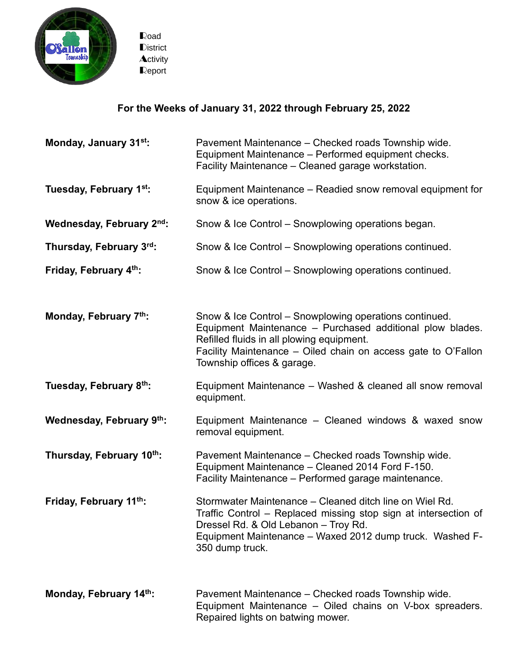

Road **District Activity** Report

## **For the Weeks of January 31, 2022 through February 25, 2022**

| Monday, January 31st:               | Pavement Maintenance – Checked roads Township wide.<br>Equipment Maintenance - Performed equipment checks.<br>Facility Maintenance - Cleaned garage workstation.                                                                                                |
|-------------------------------------|-----------------------------------------------------------------------------------------------------------------------------------------------------------------------------------------------------------------------------------------------------------------|
| Tuesday, February 1 <sup>st</sup> : | Equipment Maintenance – Readied snow removal equipment for<br>snow & ice operations.                                                                                                                                                                            |
| Wednesday, February 2nd:            | Snow & Ice Control - Snowplowing operations began.                                                                                                                                                                                                              |
| Thursday, February 3rd:             | Snow & Ice Control – Snowplowing operations continued.                                                                                                                                                                                                          |
| Friday, February 4th:               | Snow & Ice Control – Snowplowing operations continued.                                                                                                                                                                                                          |
|                                     |                                                                                                                                                                                                                                                                 |
| Monday, February 7th:               | Snow & Ice Control – Snowplowing operations continued.<br>Equipment Maintenance - Purchased additional plow blades.<br>Refilled fluids in all plowing equipment.<br>Facility Maintenance – Oiled chain on access gate to O'Fallon<br>Township offices & garage. |
| Tuesday, February 8th:              | Equipment Maintenance - Washed & cleaned all snow removal<br>equipment.                                                                                                                                                                                         |
| Wednesday, February 9th:            | Equipment Maintenance – Cleaned windows & waxed snow<br>removal equipment.                                                                                                                                                                                      |
| Thursday, February 10th:            | Pavement Maintenance - Checked roads Township wide.<br>Equipment Maintenance - Cleaned 2014 Ford F-150.<br>Facility Maintenance – Performed garage maintenance.                                                                                                 |
| Friday, February 11th:              | Stormwater Maintenance - Cleaned ditch line on Wiel Rd.<br>Traffic Control - Replaced missing stop sign at intersection of<br>Dressel Rd. & Old Lebanon - Troy Rd.<br>Equipment Maintenance - Waxed 2012 dump truck. Washed F-<br>350 dump truck.               |
| Monday, February 14th:              | Pavement Maintenance - Checked roads Township wide.<br>Equipment Maintenance – Oiled chains on V-box spreaders.<br>Repaired lights on batwing mower.                                                                                                            |